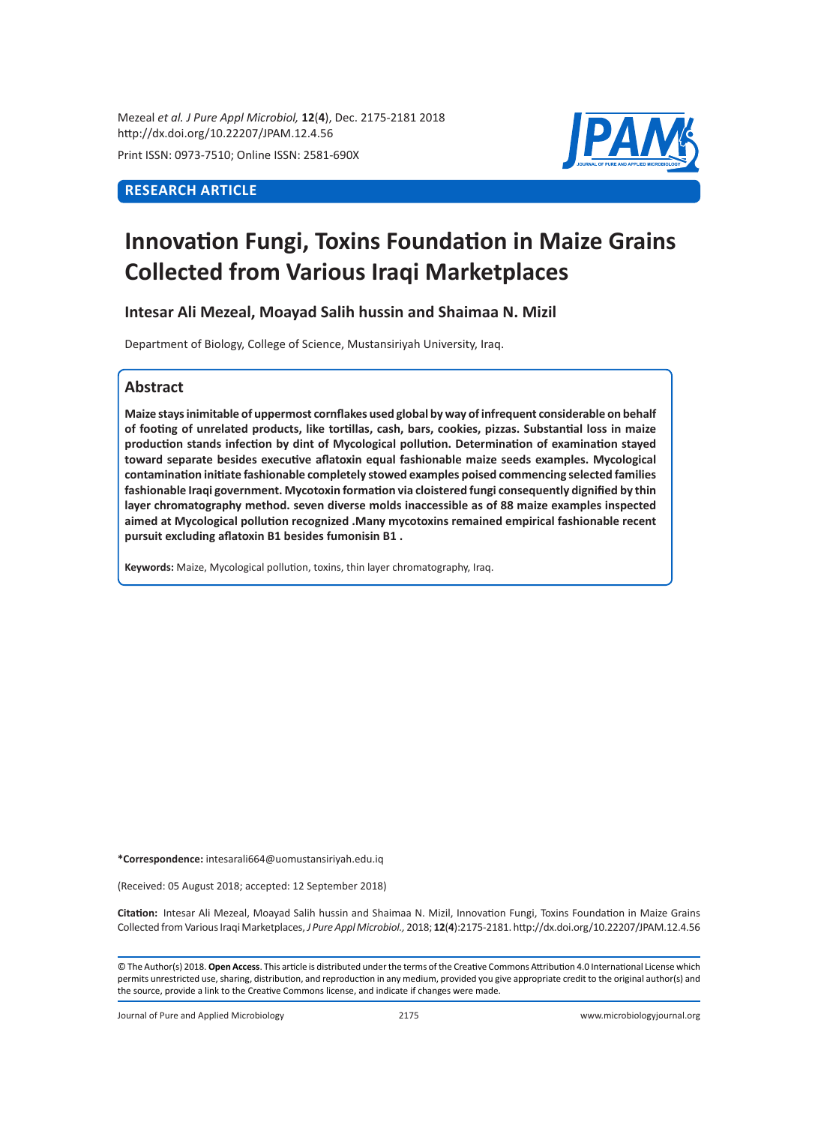Mezeal *et al. J Pure Appl Microbiol,* **12**(**4**), Dec. 2175-2181 2018 http://dx.doi.org/10.22207/JPAM.12.4.56

Print ISSN: 0973-7510; Online ISSN: 2581-690X

# **RESEARCH ARTICLE**



# **Innovation Fungi, Toxins Foundation in Maize Grains Collected from Various Iraqi Marketplaces**

**Intesar Ali Mezeal, Moayad Salih hussin and Shaimaa N. Mizil** 

Department of Biology, College of Science, Mustansiriyah University, Iraq.

# **Abstract**

**Maize stays inimitable of uppermost cornflakes used global by way of infrequent considerable on behalf of footing of unrelated products, like tortillas, cash, bars, cookies, pizzas. Substantial loss in maize production stands infection by dint of Mycological pollution. Determination of examination stayed toward separate besides executive aflatoxin equal fashionable maize seeds examples. Mycological contamination initiate fashionable completely stowed examples poised commencing selected families fashionable Iraqi government. Mycotoxin formation via cloistered fungi consequently dignified by thin layer chromatography method. seven diverse molds inaccessible as of 88 maize examples inspected aimed at Mycological pollution recognized .Many mycotoxins remained empirical fashionable recent pursuit excluding aflatoxin B1 besides fumonisin B1 .** 

**Keywords:** Maize, Mycological pollution, toxins, thin layer chromatography, Iraq.

**\*Correspondence:** intesarali664@uomustansiriyah.edu.iq

(Received: 05 August 2018; accepted: 12 September 2018)

**Citation:**  Intesar Ali Mezeal, Moayad Salih hussin and Shaimaa N. Mizil, Innovation Fungi, Toxins Foundation in Maize Grains Collected from Various Iraqi Marketplaces, *J Pure Appl Microbiol.,* 2018; **12**(**4**):2175-2181. http://dx.doi.org/10.22207/JPAM.12.4.56

© The Author(s) 2018. **Open Access**. This article is distributed under the terms of the Creative Commons Attribution 4.0 International License which permits unrestricted use, sharing, distribution, and reproduction in any medium, provided you give appropriate credit to the original author(s) and the source, provide a link to the Creative Commons license, and indicate if changes were made.

Journal of Pure and Applied Microbiology 2175 www.microbiologyjournal.org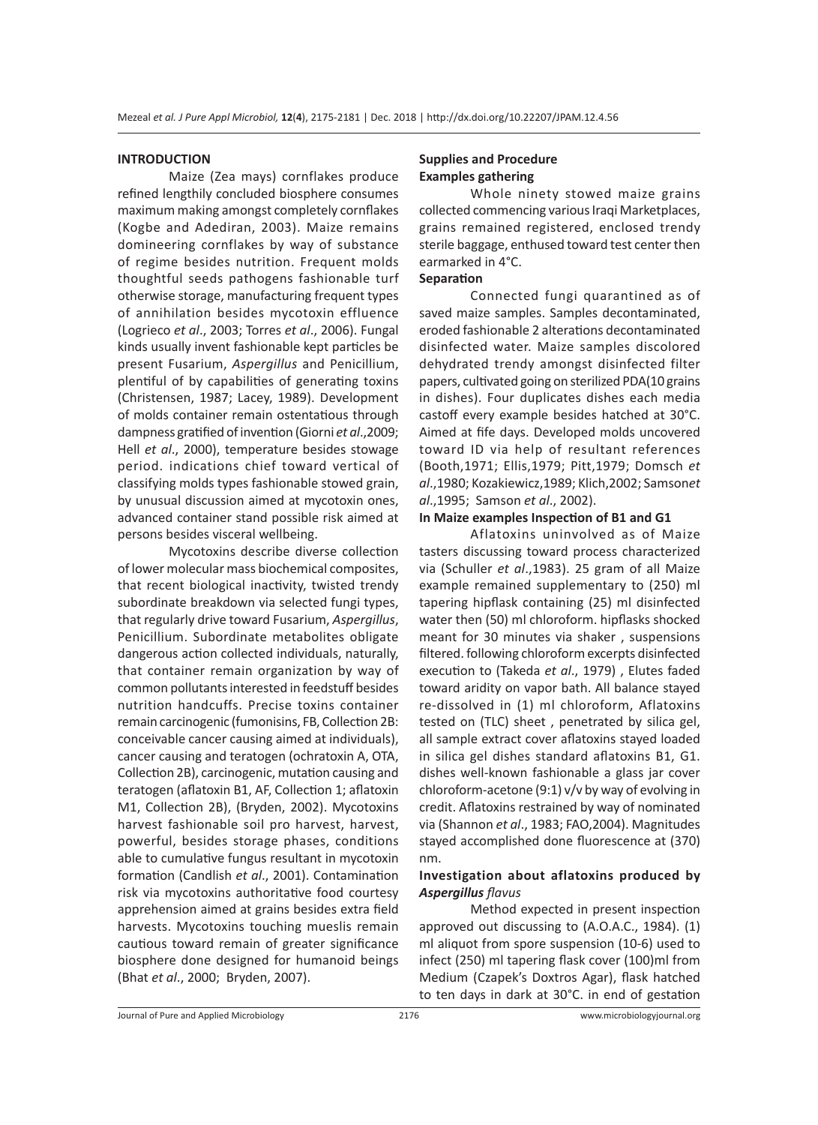#### **INTRODUCTION**

Maize (Zea mays) cornflakes produce refined lengthily concluded biosphere consumes maximum making amongst completely cornflakes (Kogbe and Adediran, 2003). Maize remains domineering cornflakes by way of substance of regime besides nutrition. Frequent molds thoughtful seeds pathogens fashionable turf otherwise storage, manufacturing frequent types of annihilation besides mycotoxin effluence (Logrieco *et al*., 2003; Torres *et al*., 2006). Fungal kinds usually invent fashionable kept particles be present Fusarium, *Aspergillus* and Penicillium, plentiful of by capabilities of generating toxins (Christensen, 1987; Lacey, 1989). Development of molds container remain ostentatious through dampness gratified of invention (Giorni *et al*.,2009; Hell *et al*., 2000), temperature besides stowage period. indications chief toward vertical of classifying molds types fashionable stowed grain, by unusual discussion aimed at mycotoxin ones, advanced container stand possible risk aimed at persons besides visceral wellbeing.

Mycotoxins describe diverse collection of lower molecular mass biochemical composites, that recent biological inactivity, twisted trendy subordinate breakdown via selected fungi types, that regularly drive toward Fusarium, *Aspergillus*, Penicillium. Subordinate metabolites obligate dangerous action collected individuals, naturally, that container remain organization by way of common pollutants interested in feedstuff besides nutrition handcuffs. Precise toxins container remain carcinogenic (fumonisins, FB, Collection 2B: conceivable cancer causing aimed at individuals), cancer causing and teratogen (ochratoxin A, OTA, Collection 2B), carcinogenic, mutation causing and teratogen (aflatoxin B1, AF, Collection 1; aflatoxin M1, Collection 2B), (Bryden, 2002). Mycotoxins harvest fashionable soil pro harvest, harvest, powerful, besides storage phases, conditions able to cumulative fungus resultant in mycotoxin formation (Candlish *et al*., 2001). Contamination risk via mycotoxins authoritative food courtesy apprehension aimed at grains besides extra field harvests. Mycotoxins touching mueslis remain cautious toward remain of greater significance biosphere done designed for humanoid beings (Bhat *et al*., 2000; Bryden, 2007).

# **Supplies and Procedure Examples gathering**

Whole ninety stowed maize grains collected commencing various Iraqi Marketplaces, grains remained registered, enclosed trendy sterile baggage, enthused toward test center then earmarked in 4°C.

# **Separation**

Connected fungi quarantined as of saved maize samples. Samples decontaminated, eroded fashionable 2 alterations decontaminated disinfected water. Maize samples discolored dehydrated trendy amongst disinfected filter papers, cultivated going on sterilized PDA(10 grains in dishes). Four duplicates dishes each media castoff every example besides hatched at 30°C. Aimed at fife days. Developed molds uncovered toward ID via help of resultant references (Booth,1971; Ellis,1979; Pitt,1979; Domsch *et al*.,1980; Kozakiewicz,1989; Klich,2002; Samson*et al*.,1995; Samson *et al*., 2002).

#### **In Maize examples Inspection of B1 and G1**

Aflatoxins uninvolved as of Maize tasters discussing toward process characterized via (Schuller *et al*.,1983). 25 gram of all Maize example remained supplementary to (250) ml tapering hipflask containing (25) ml disinfected water then (50) ml chloroform. hipflasks shocked meant for 30 minutes via shaker , suspensions filtered. following chloroform excerpts disinfected execution to (Takeda *et al*., 1979) , Elutes faded toward aridity on vapor bath. All balance stayed re-dissolved in (1) ml chloroform, Aflatoxins tested on (TLC) sheet , penetrated by silica gel, all sample extract cover aflatoxins stayed loaded in silica gel dishes standard aflatoxins B1, G1. dishes well-known fashionable a glass jar cover chloroform-acetone (9:1) v/v by way of evolving in credit. Aflatoxins restrained by way of nominated via (Shannon *et al*., 1983; FAO,2004). Magnitudes stayed accomplished done fluorescence at (370) nm.

## **Investigation about aflatoxins produced by**  *Aspergillus flavus*

Method expected in present inspection approved out discussing to (A.O.A.C., 1984). (1) ml aliquot from spore suspension (10-6) used to infect (250) ml tapering flask cover (100)ml from Medium (Czapek's Doxtros Agar), flask hatched to ten days in dark at 30°C. in end of gestation

Journal of Pure and Applied Microbiology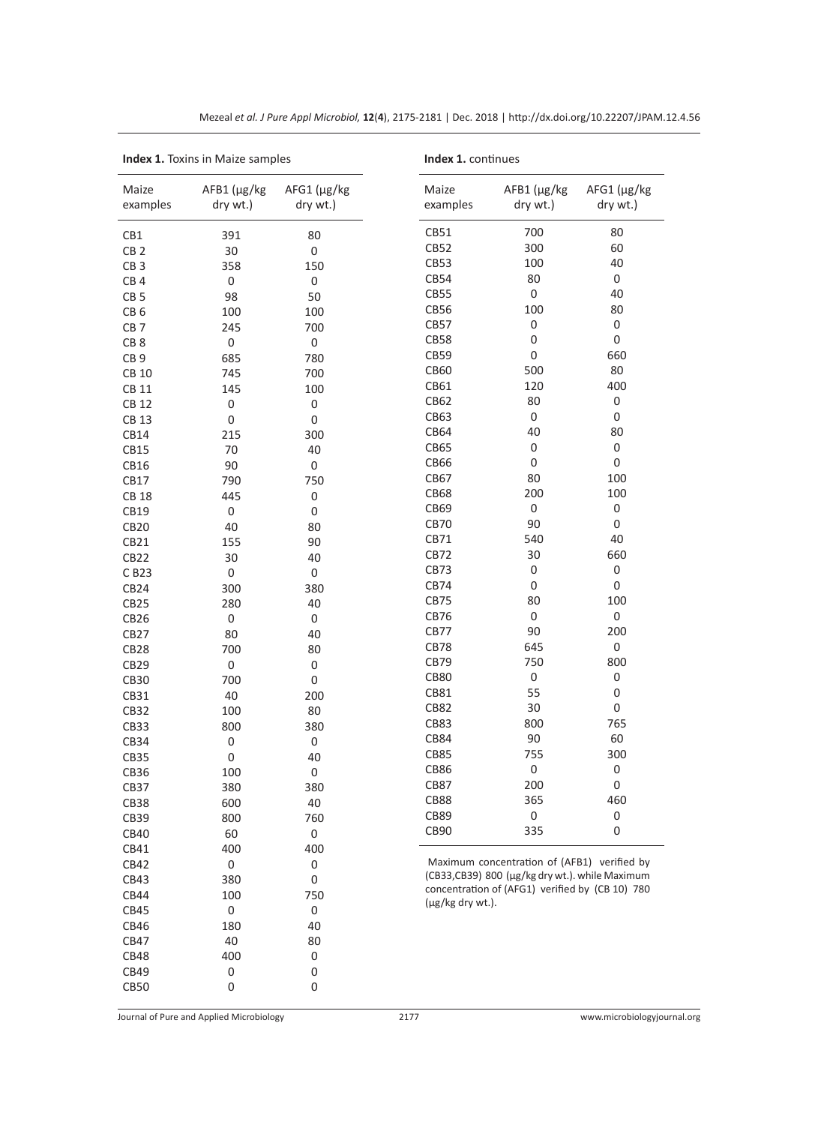| <b>Index 1.</b> Toxins in Maize samples |                         | Index 1. continues      |                   |                                                 |                                    |
|-----------------------------------------|-------------------------|-------------------------|-------------------|-------------------------------------------------|------------------------------------|
| Maize<br>examples                       | AFB1 (µg/kg<br>dry wt.) | AFG1 (µg/kg<br>dry wt.) | Maize<br>examples | $AFB1(\mu g/kg)$<br>dry wt.)                    | $AFG1$ ( $\mu$ g/ $kg$<br>dry wt.) |
| CB1                                     | 391                     | 80                      | CB51              | 700                                             | 80                                 |
| CB <sub>2</sub>                         | 30                      | $\boldsymbol{0}$        | CB52              | 300                                             | 60                                 |
| CB <sub>3</sub>                         | 358                     | 150                     | CB53              | 100                                             | 40                                 |
| CB <sub>4</sub>                         | 0                       | $\boldsymbol{0}$        | CB54              | 80                                              | 0                                  |
| CB <sub>5</sub>                         | 98                      | 50                      | CB55              | $\boldsymbol{0}$                                | 40                                 |
| CB <sub>6</sub>                         | 100                     | 100                     | CB56              | 100                                             | 80                                 |
| CB <sub>7</sub>                         | 245                     | 700                     | CB57              | $\boldsymbol{0}$                                | 0                                  |
| CB <sub>8</sub>                         | 0                       | $\boldsymbol{0}$        | <b>CB58</b>       | $\boldsymbol{0}$                                | $\boldsymbol{0}$                   |
| CB <sub>9</sub>                         | 685                     | 780                     | CB59              | 0                                               | 660                                |
| <b>CB 10</b>                            | 745                     | 700                     | CB60              | 500                                             | 80                                 |
| CB 11                                   | 145                     | 100                     | CB61              | 120                                             | 400                                |
| <b>CB 12</b>                            | $\boldsymbol{0}$        | 0                       | CB62              | 80                                              | 0                                  |
| <b>CB 13</b>                            | 0                       | $\boldsymbol{0}$        | CB63              | $\boldsymbol{0}$                                | 0                                  |
| CB14                                    | 215                     | 300                     | CB64              | 40                                              | 80                                 |
| CB15                                    | 70                      | 40                      | CB65              | $\boldsymbol{0}$                                | $\boldsymbol{0}$                   |
| CB16                                    | 90                      | $\boldsymbol{0}$        | CB66              | 0                                               | 0                                  |
| CB17                                    | 790                     | 750                     | CB67              | 80                                              | 100                                |
| <b>CB 18</b>                            | 445                     | $\boldsymbol{0}$        | <b>CB68</b>       | 200                                             | 100                                |
| CB19                                    | 0                       | $\boldsymbol{0}$        | CB69              | $\boldsymbol{0}$                                | $\boldsymbol{0}$                   |
| <b>CB20</b>                             | 40                      | 80                      | <b>CB70</b>       | 90                                              | $\boldsymbol{0}$                   |
| CB21                                    | 155                     | 90                      | CB71              | 540                                             | 40                                 |
| <b>CB22</b>                             | 30                      | 40                      | CB72              | 30                                              | 660                                |
| C B23                                   | 0                       | $\boldsymbol{0}$        | CB73              | $\boldsymbol{0}$                                | 0                                  |
| CB <sub>24</sub>                        | 300                     | 380                     | CB74              | 0                                               | $\boldsymbol{0}$                   |
| CB <sub>25</sub>                        | 280                     | 40                      | CB75              | 80                                              | 100                                |
| CB26                                    | $\boldsymbol{0}$        | $\boldsymbol{0}$        | CB76              | 0                                               | $\boldsymbol{0}$                   |
| <b>CB27</b>                             | 80                      | 40                      | CB77              | 90                                              | 200                                |
| CB <sub>28</sub>                        | 700                     | 80                      | CB78              | 645                                             | 0                                  |
| CB <sub>29</sub>                        | 0                       | $\boldsymbol{0}$        | CB79              | 750                                             | 800                                |
| <b>CB30</b>                             | 700                     | 0                       | <b>CB80</b>       | $\boldsymbol{0}$                                | $\boldsymbol{0}$                   |
| CB31                                    | 40                      | 200                     | CB81              | 55                                              | $\boldsymbol{0}$                   |
| CB32                                    | 100                     | 80                      | <b>CB82</b>       | 30                                              | $\boldsymbol{0}$                   |
| CB33                                    | 800                     | 380                     | CB83              | 800                                             | 765                                |
| CB34                                    | 0                       | $\boldsymbol{0}$        | CB84              | 90                                              | 60                                 |
| CB35                                    | $\boldsymbol{0}$        | 40                      | CB85              | 755                                             | 300                                |
| CB36                                    | 100                     | $\boldsymbol{0}$        | <b>CB86</b>       | $\boldsymbol{0}$                                | $\boldsymbol{0}$                   |
| <b>CB37</b>                             | 380                     | 380                     | <b>CB87</b>       | 200                                             | 0                                  |
| CB38                                    | 600                     | 40                      | <b>CB88</b>       | 365                                             | 460                                |
| CB39                                    | 800                     | 760                     | CB89              | 0                                               | $\boldsymbol{0}$                   |
| CB40                                    | 60                      | $\mathbf 0$             | CB90              | 335                                             | 0                                  |
| CB41                                    | 400                     | 400                     |                   |                                                 |                                    |
| CB42                                    | 0                       | $\boldsymbol{0}$        |                   | Maximum concentration of (AFB1) verified by     |                                    |
| CB43                                    | 380                     | $\boldsymbol{0}$        |                   | (CB33,CB39) 800 (µg/kg dry wt.). while Maximum  |                                    |
| CB44                                    | 100                     | 750                     |                   | concentration of (AFG1) verified by (CB 10) 780 |                                    |
| CB45                                    | 0                       | 0                       | (µg/kg dry wt.).  |                                                 |                                    |
| CB46                                    | 180                     | 40                      |                   |                                                 |                                    |
| CB47                                    | 40                      | 80                      |                   |                                                 |                                    |
| <b>CB48</b>                             | 400                     | $\boldsymbol{0}$        |                   |                                                 |                                    |
| CB49                                    | 0                       | 0                       |                   |                                                 |                                    |

Mezeal *et al. J Pure Appl Microbiol,* **12**(**4**), 2175-2181 | Dec. 2018 | http://dx.doi.org/10.22207/JPAM.12.4.56

CB50 0 0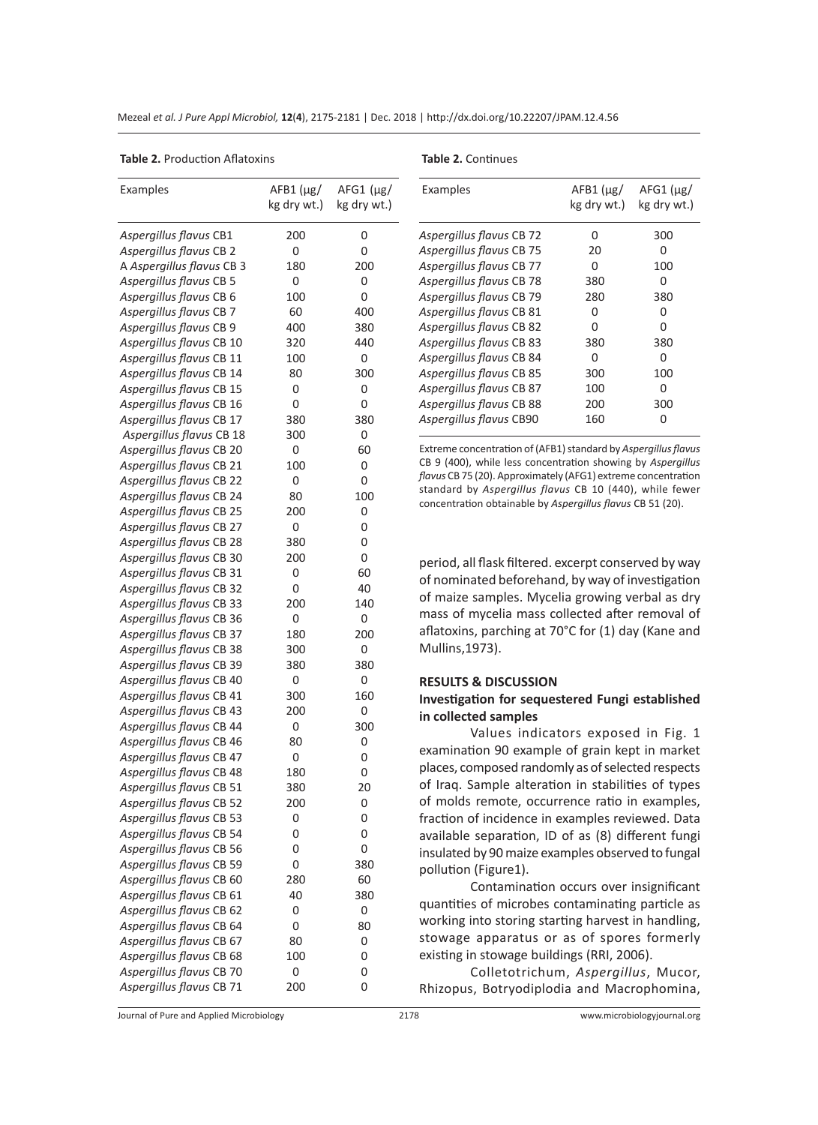| Mezeal et al. J Pure Appl Microbiol, 12(4), 2175-2181   Dec. 2018   http://dx.doi.org/10.22207/JPAM.12.4.56 |  |
|-------------------------------------------------------------------------------------------------------------|--|
|-------------------------------------------------------------------------------------------------------------|--|

**Table 2.** Production Aflatoxins

**Table 2.** Continues

| Examples                                             | $AFB1(\mu g/$<br>kg dry wt.) | $AFG1$ ( $\mu$ g/<br>kg dry wt.) |
|------------------------------------------------------|------------------------------|----------------------------------|
| Aspergillus flavus CB1                               | 200                          | 0                                |
| Aspergillus flavus CB 2                              | 0                            | 0                                |
| A Aspergillus flavus CB 3                            | 180                          | 200                              |
| Aspergillus flavus CB 5                              | 0                            | 0                                |
| Aspergillus flavus CB 6                              | 100                          | 0                                |
| Aspergillus flavus CB 7                              | 60                           | 400                              |
| Aspergillus flavus CB 9                              | 400                          | 380                              |
| Aspergillus flavus CB 10                             | 320                          | 440                              |
| Aspergillus flavus CB 11                             | 100                          | 0                                |
| Aspergillus flavus CB 14                             | 80                           | 300                              |
| Aspergillus flavus CB 15                             | 0                            | 0                                |
| Aspergillus flavus CB 16                             | 0                            | 0                                |
| Aspergillus flavus CB 17                             | 380                          | 380                              |
| Aspergillus flavus CB 18                             | 300                          | 0                                |
| Aspergillus flavus CB 20                             | 0                            | 60                               |
| Aspergillus flavus CB 21                             | 100                          | 0                                |
| Aspergillus flavus CB 22                             | 0                            | 0                                |
| Aspergillus flavus CB 24                             | 80                           | 100                              |
| Aspergillus flavus CB 25                             | 200                          | 0                                |
| Aspergillus flavus CB 27                             | 0                            | 0                                |
| Aspergillus flavus CB 28                             | 380                          | 0                                |
| Aspergillus flavus CB 30                             | 200                          | 0                                |
| Aspergillus flavus CB 31                             | 0                            | 60                               |
| Aspergillus flavus CB 32                             | 0                            | 40                               |
| Aspergillus flavus CB 33                             | 200                          | 140                              |
| Aspergillus flavus CB 36                             | 0                            | 0                                |
| Aspergillus flavus CB 37                             | 180                          | 200                              |
| Aspergillus flavus CB 38                             | 300                          | 0                                |
| Aspergillus flavus CB 39                             | 380                          | 380                              |
| Aspergillus flavus CB 40                             | 0                            | 0<br>160                         |
| Aspergillus flavus CB 41                             | 300<br>200                   | 0                                |
| Aspergillus flavus CB 43<br>Aspergillus flavus CB 44 | 0                            | 300                              |
| Aspergillus flavus CB 46                             | 80                           | 0                                |
| Aspergillus flavus CB 47                             | 0                            | 0                                |
| Aspergillus flavus CB 48                             | 180                          | 0                                |
| Aspergillus flavus CB 51                             | 380                          | 20                               |
| Aspergillus flavus CB 52                             | 200                          | 0                                |
| Aspergillus flavus CB 53                             | 0                            | 0                                |
| Aspergillus flavus CB 54                             | 0                            | 0                                |
| Aspergillus flavus CB 56                             | 0                            | 0                                |
| Aspergillus flavus CB 59                             | 0                            | 380                              |
| Aspergillus flavus CB 60                             | 280                          | 60                               |
| Aspergillus flavus CB 61                             | 40                           | 380                              |
| Aspergillus flavus CB 62                             | 0                            | 0                                |
| Aspergillus flavus CB 64                             | 0                            | 80                               |
| Aspergillus flavus CB 67                             | 80                           | 0                                |
| Aspergillus flavus CB 68                             | 100                          | 0                                |
| Aspergillus flavus CB 70                             | 0                            | 0                                |
| Aspergillus flavus CB 71                             | 200                          | 0                                |
|                                                      |                              |                                  |

| Examples                 | $AFB1$ ( $\mu$ g/<br>kg dry wt.) | $AFG1(\mu g)$<br>kg dry wt.) |
|--------------------------|----------------------------------|------------------------------|
| Aspergillus flavus CB 72 | U                                | 300                          |
| Aspergillus flavus CB 75 | 20                               | O                            |
| Aspergillus flavus CB 77 | O                                | 100                          |
| Aspergillus flavus CB 78 | 380                              | Ω                            |
| Aspergillus flavus CB 79 | 280                              | 380                          |
| Aspergillus flavus CB 81 | U                                | Ω                            |
| Aspergillus flavus CB 82 | O                                | U                            |
| Aspergillus flavus CB 83 | 380                              | 380                          |
| Aspergillus flavus CB 84 | U                                | Ω                            |
| Aspergillus flavus CB 85 | 300                              | 100                          |
| Aspergillus flavus CB 87 | 100                              | U                            |
| Aspergillus flavus CB 88 | 200                              | 300                          |
| Aspergillus flavus CB90  | 160                              |                              |

Extreme concentration of (AFB1) standard by *Aspergillus flavus* CB 9 (400), while less concentration showing by *Aspergillus flavus* CB 75 (20). Approximately (AFG1) extreme concentration standard by *Aspergillus flavus* CB 10 (440), while fewer concentration obtainable by *Aspergillus flavus* CB 51 (20).

period, all flask filtered. excerpt conserved by way of nominated beforehand, by way of investigation of maize samples. Mycelia growing verbal as dry mass of mycelia mass collected after removal of aflatoxins, parching at 70°C for (1) day (Kane and Mullins,1973).

#### **RESULTS & DISCUSSION**

## **Investigation for sequestered Fungi established in collected samples**

Values indicators exposed in Fig. 1 examination 90 example of grain kept in market places, composed randomly as of selected respects of Iraq. Sample alteration in stabilities of types of molds remote, occurrence ratio in examples, fraction of incidence in examples reviewed. Data available separation, ID of as (8) different fungi insulated by 90 maize examples observed to fungal pollution (Figure1).

Contamination occurs over insignificant quantities of microbes contaminating particle as working into storing starting harvest in handling, stowage apparatus or as of spores formerly existing in stowage buildings (RRI, 2006).

Colletotrichum, *Aspergillus*, Mucor, Rhizopus, Botryodiplodia and Macrophomina,

Journal of Pure and Applied Microbiology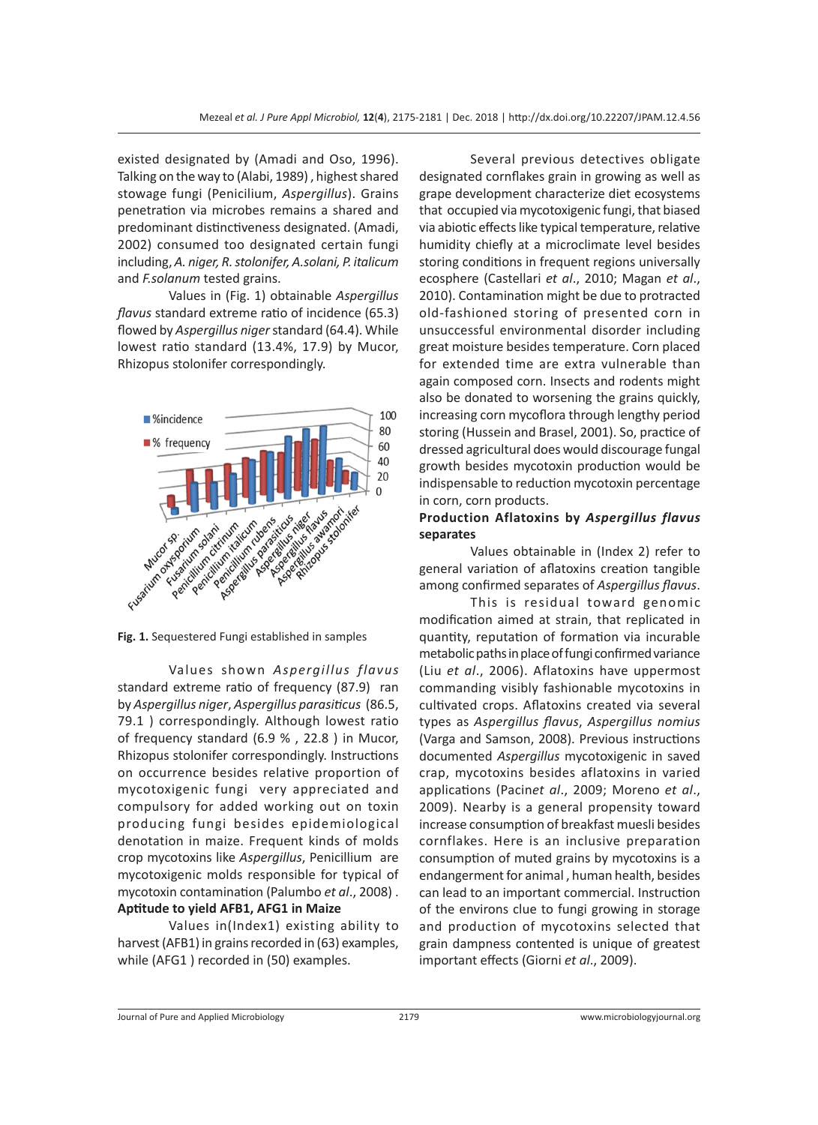existed designated by (Amadi and Oso, 1996). Talking on the way to (Alabi, 1989) , highest shared stowage fungi (Penicilium, *Aspergillus*). Grains penetration via microbes remains a shared and predominant distinctiveness designated. (Amadi, 2002) consumed too designated certain fungi including, *A. niger, R. stolonifer, A.solani, P. italicum*  and *F.solanum* tested grains.

Values in (Fig. 1) obtainable *Aspergillus flavus* standard extreme ratio of incidence (65.3) flowed by *Aspergillus niger* standard (64.4). While lowest ratio standard (13.4%, 17.9) by Mucor, Rhizopus stolonifer correspondingly.



**Fig. 1.** Sequestered Fungi established in samples

Values shown *Aspergillus flavus* standard extreme ratio of frequency (87.9) ran by *Aspergillus niger*, *Aspergillus parasiticus* (86.5, 79.1 ) correspondingly. Although lowest ratio of frequency standard (6.9 % , 22.8 ) in Mucor, Rhizopus stolonifer correspondingly. Instructions on occurrence besides relative proportion of mycotoxigenic fungi very appreciated and compulsory for added working out on toxin producing fungi besides epidemiological denotation in maize. Frequent kinds of molds crop mycotoxins like *Aspergillus*, Penicillium are mycotoxigenic molds responsible for typical of mycotoxin contamination (Palumbo *et al*., 2008) . **Aptitude to yield AFB1, AFG1 in Maize** 

Values in(Index1) existing ability to harvest (AFB1) in grains recorded in (63) examples, while (AFG1 ) recorded in (50) examples.

Several previous detectives obligate designated cornflakes grain in growing as well as grape development characterize diet ecosystems that occupied via mycotoxigenic fungi, that biased via abiotic effects like typical temperature, relative humidity chiefly at a microclimate level besides storing conditions in frequent regions universally ecosphere (Castellari *et al*., 2010; Magan *et al*., 2010). Contamination might be due to protracted old-fashioned storing of presented corn in unsuccessful environmental disorder including great moisture besides temperature. Corn placed for extended time are extra vulnerable than again composed corn. Insects and rodents might also be donated to worsening the grains quickly, increasing corn mycoflora through lengthy period storing (Hussein and Brasel, 2001). So, practice of dressed agricultural does would discourage fungal growth besides mycotoxin production would be indispensable to reduction mycotoxin percentage in corn, corn products.

# **Production Aflatoxins by** *Aspergillus flavus*  **separates**

Values obtainable in (Index 2) refer to general variation of aflatoxins creation tangible among confirmed separates of *Aspergillus flavus*.

This is residual toward genomic modification aimed at strain, that replicated in quantity, reputation of formation via incurable metabolic paths in place of fungi confirmed variance (Liu *et al*., 2006). Aflatoxins have uppermost commanding visibly fashionable mycotoxins in cultivated crops. Aflatoxins created via several types as *Aspergillus flavus*, *Aspergillus nomius* (Varga and Samson, 2008). Previous instructions documented *Aspergillus* mycotoxigenic in saved crap, mycotoxins besides aflatoxins in varied applications (Pacin*et al*., 2009; Moreno *et al*., 2009). Nearby is a general propensity toward increase consumption of breakfast muesli besides cornflakes. Here is an inclusive preparation consumption of muted grains by mycotoxins is a endangerment for animal , human health, besides can lead to an important commercial. Instruction of the environs clue to fungi growing in storage and production of mycotoxins selected that grain dampness contented is unique of greatest important effects (Giorni *et al*., 2009).

Journal of Pure and Applied Microbiology 2179 www.microbiologyjournal.org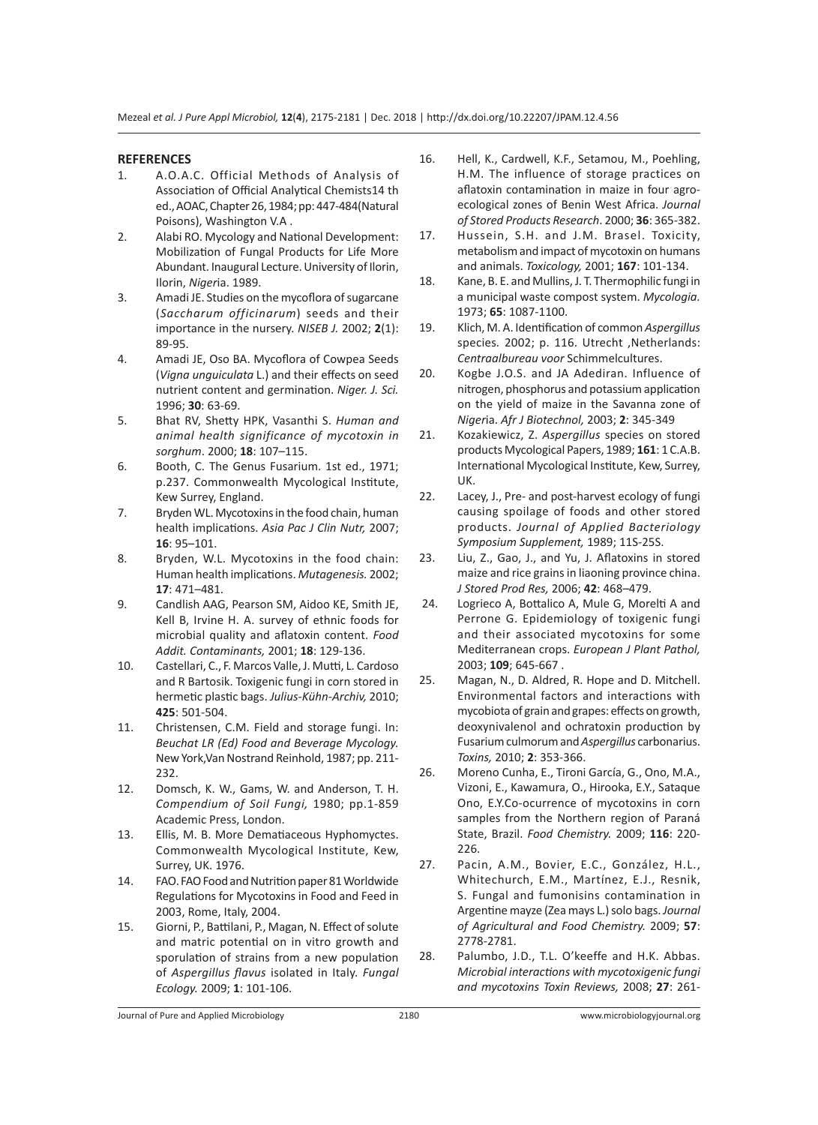#### **REFERENCES**

- 1. A.O.A.C. Official Methods of Analysis of Association of Official Analytical Chemists14 th ed., AOAC, Chapter 26, 1984; pp: 447-484(Natural Poisons), Washington V.A .
- 2. Alabi RO. Mycology and National Development: Mobilization of Fungal Products for Life More Abundant. Inaugural Lecture. University of Ilorin, Ilorin, *Niger*ia. 1989.
- 3. Amadi JE. Studies on the mycoflora of sugarcane (*Saccharum officinarum*) seeds and their importance in the nursery. *NISEB J.* 2002; **2**(1): 89-95.
- 4. Amadi JE, Oso BA. Mycoflora of Cowpea Seeds (*Vigna unguiculata* L.) and their effects on seed nutrient content and germination. *Niger. J. Sci.* 1996; **30**: 63-69.
- 5. Bhat RV, Shetty HPK, Vasanthi S. *Human and animal health significance of mycotoxin in sorghum*. 2000; **18**: 107–115.
- 6. Booth, C. The Genus Fusarium. 1st ed., 1971; p.237. Commonwealth Mycological Institute, Kew Surrey, England.
- 7. Bryden WL. Mycotoxins in the food chain, human health implications. *Asia Pac J Clin Nutr,* 2007; **16**: 95–101.
- 8. Bryden, W.L. Mycotoxins in the food chain: Human health implications. *Mutagenesis.* 2002; **17**: 471–481.
- 9. Candlish AAG, Pearson SM, Aidoo KE, Smith JE, Kell B, Irvine H. A. survey of ethnic foods for microbial quality and aflatoxin content. *Food Addit. Contaminants,* 2001; **18**: 129-136.
- 10. Castellari, C., F. Marcos Valle, J. Mutti, L. Cardoso and R Bartosik. Toxigenic fungi in corn stored in hermetic plastic bags. *Julius-Kühn-Archiv,* 2010; **425**: 501-504.
- 11. Christensen, C.M. Field and storage fungi. In: *Beuchat LR (Ed) Food and Beverage Mycology.*  New York,Van Nostrand Reinhold, 1987; pp. 211- 232.
- 12. Domsch, K. W., Gams, W. and Anderson, T. H. *Compendium of Soil Fungi,* 1980; pp.1-859 Academic Press, London.
- 13. Ellis, M. B. More Dematiaceous Hyphomyctes. Commonwealth Mycological Institute, Kew, Surrey, UK. 1976.
- 14. FAO. FAO Food and Nutrition paper 81 Worldwide Regulations for Mycotoxins in Food and Feed in 2003, Rome, Italy, 2004.
- 15. Giorni, P., Battilani, P., Magan, N. Effect of solute and matric potential on in vitro growth and sporulation of strains from a new population of *Aspergillus flavus* isolated in Italy. *Fungal Ecology.* 2009; **1**: 101-106.
- 16. Hell, K., Cardwell, K.F., Setamou, M., Poehling, H.M. The influence of storage practices on aflatoxin contamination in maize in four agroecological zones of Benin West Africa. *Journal of Stored Products Research*. 2000; **36**: 365-382.
- 17. Hussein, S.H. and J.M. Brasel. Toxicity, metabolism and impact of mycotoxin on humans and animals. *Toxicology,* 2001; **167**: 101-134.
- 18. Kane, B. E. and Mullins, J. T. Thermophilic fungi in a municipal waste compost system. *Mycologia.*  1973; **65**: 1087-1100.
- 19. Klich, M. A. Identification of common *Aspergillus* species*.* 2002; p. 116. Utrecht ,Netherlands: *Centraalbureau voor* Schimmelcultures.
- 20. Kogbe J.O.S. and JA Adediran. Influence of nitrogen, phosphorus and potassium application on the yield of maize in the Savanna zone of *Niger*ia. *Afr J Biotechnol,* 2003; **2**: 345-349
- 21. Kozakiewicz, Z. *Aspergillus* species on stored products Mycological Papers, 1989; **161**: 1 C.A.B. International Mycological Institute, Kew, Surrey, UK.
- 22. Lacey, J., Pre- and post-harvest ecology of fungi causing spoilage of foods and other stored products. *Journal of Applied Bacteriology Symposium Supplement,* 1989; 11S-25S.
- 23. Liu, Z., Gao, J., and Yu, J. Aflatoxins in stored maize and rice grains in liaoning province china. *J Stored Prod Res,* 2006; **42**: 468–479.
- 24. Logrieco A, Bottalico A, Mule G, Morelti A and Perrone G. Epidemiology of toxigenic fungi and their associated mycotoxins for some Mediterranean crops. *European J Plant Pathol,* 2003; **109**; 645-667 .
- 25. Magan, N., D. Aldred, R. Hope and D. Mitchell. Environmental factors and interactions with mycobiota of grain and grapes: effects on growth, deoxynivalenol and ochratoxin production by Fusarium culmorum and *Aspergillus* carbonarius. *Toxins,* 2010; **2**: 353-366.
- 26. Moreno Cunha, E., Tironi García, G., Ono, M.A., Vizoni, E., Kawamura, O., Hirooka, E.Y., Sataque Ono, E.Y.Co-ocurrence of mycotoxins in corn samples from the Northern region of Paraná State, Brazil. *Food Chemistry.* 2009; **116**: 220- 226.
- 27. Pacin, A.M., Bovier, E.C., González, H.L., Whitechurch, E.M., Martínez, E.J., Resnik, S. Fungal and fumonisins contamination in Argentine mayze (Zea mays L.) solo bags. *Journal of Agricultural and Food Chemistry.* 2009; **57**: 2778-2781.
- 28. Palumbo, J.D., T.L. O'keeffe and H.K. Abbas. *Microbial interactions with mycotoxigenic fungi and mycotoxins Toxin Reviews,* 2008; **27**: 261-